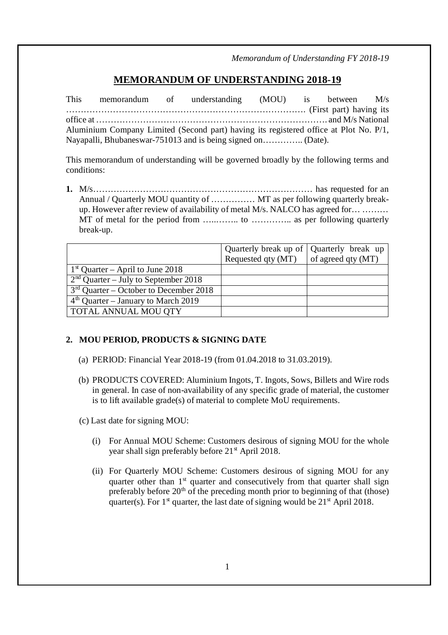*Memorandum of Understanding FY 2018-19*

# **MEMORANDUM OF UNDERSTANDING 2018-19**

This memorandum of understanding (MOU) is between M/s ………………………………………………………………………. (First part) having its office at ……………………………………………………………………. and M/s National Aluminium Company Limited (Second part) having its registered office at Plot No. P/1, Nayapalli, Bhubaneswar-751013 and is being signed on………….. (Date).

This memorandum of understanding will be governed broadly by the following terms and conditions:

**1.** M/s………………………………………………………………… has requested for an Annual / Quarterly MOU quantity of …………… MT as per following quarterly breakup. However after review of availability of metal M/s. NALCO has agreed for… ……… MT of metal for the period from …..…….. to ………….. as per following quarterly break-up.

|                                          | Quarterly break up of Quarterly break up |                    |
|------------------------------------------|------------------------------------------|--------------------|
|                                          | Requested qty (MT)                       | of agreed qty (MT) |
| $1st$ Quarter – April to June 2018       |                                          |                    |
| $2nd$ Quarter – July to September 2018   |                                          |                    |
| $3rd$ Quarter – October to December 2018 |                                          |                    |
| $4th$ Quarter – January to March 2019    |                                          |                    |
| TOTAL ANNUAL MOU QTY                     |                                          |                    |

#### **2. MOU PERIOD, PRODUCTS & SIGNING DATE**

- (a) PERIOD: Financial Year 2018-19 (from 01.04.2018 to 31.03.2019).
- (b) PRODUCTS COVERED: Aluminium Ingots, T. Ingots, Sows, Billets and Wire rods in general. In case of non-availability of any specific grade of material, the customer is to lift available grade(s) of material to complete MoU requirements.
- (c) Last date for signing MOU:
	- (i) For Annual MOU Scheme: Customers desirous of signing MOU for the whole year shall sign preferably before  $21<sup>st</sup>$  April 2018.
	- (ii) For Quarterly MOU Scheme: Customers desirous of signing MOU for any quarter other than  $1<sup>st</sup>$  quarter and consecutively from that quarter shall sign preferably before  $20<sup>th</sup>$  of the preceding month prior to beginning of that (those) quarter(s). For  $1<sup>st</sup>$  quarter, the last date of signing would be  $21<sup>st</sup>$  April 2018.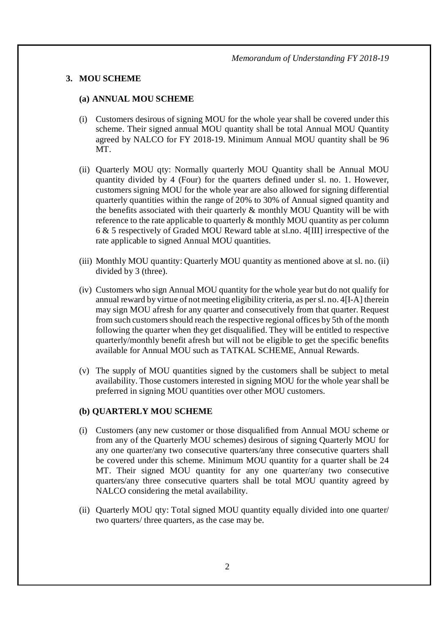#### **3. MOU SCHEME**

#### **(a) ANNUAL MOU SCHEME**

- (i) Customers desirous of signing MOU for the whole year shall be covered under this scheme. Their signed annual MOU quantity shall be total Annual MOU Quantity agreed by NALCO for FY 2018-19. Minimum Annual MOU quantity shall be 96 MT.
- (ii) Quarterly MOU qty: Normally quarterly MOU Quantity shall be Annual MOU quantity divided by 4 (Four) for the quarters defined under sl. no. 1. However, customers signing MOU for the whole year are also allowed for signing differential quarterly quantities within the range of 20% to 30% of Annual signed quantity and the benefits associated with their quarterly & monthly MOU Quantity will be with reference to the rate applicable to quarterly  $\&$  monthly MOU quantity as per column 6 & 5 respectively of Graded MOU Reward table at sl.no. 4[III] irrespective of the rate applicable to signed Annual MOU quantities.
- (iii) Monthly MOU quantity: Quarterly MOU quantity as mentioned above at sl. no. (ii) divided by 3 (three).
- (iv) Customers who sign Annual MOU quantity for the whole year but do not qualify for annual reward by virtue of not meeting eligibility criteria, as per sl. no. 4[I-A] therein may sign MOU afresh for any quarter and consecutively from that quarter. Request from such customers should reach the respective regional offices by 5th of the month following the quarter when they get disqualified. They will be entitled to respective quarterly/monthly benefit afresh but will not be eligible to get the specific benefits available for Annual MOU such as TATKAL SCHEME, Annual Rewards.
- (v) The supply of MOU quantities signed by the customers shall be subject to metal availability. Those customers interested in signing MOU for the whole year shall be preferred in signing MOU quantities over other MOU customers.

#### **(b) QUARTERLY MOU SCHEME**

- (i) Customers (any new customer or those disqualified from Annual MOU scheme or from any of the Quarterly MOU schemes) desirous of signing Quarterly MOU for any one quarter/any two consecutive quarters/any three consecutive quarters shall be covered under this scheme. Minimum MOU quantity for a quarter shall be 24 MT. Their signed MOU quantity for any one quarter/any two consecutive quarters/any three consecutive quarters shall be total MOU quantity agreed by NALCO considering the metal availability.
- (ii) Quarterly MOU qty: Total signed MOU quantity equally divided into one quarter/ two quarters/ three quarters, as the case may be.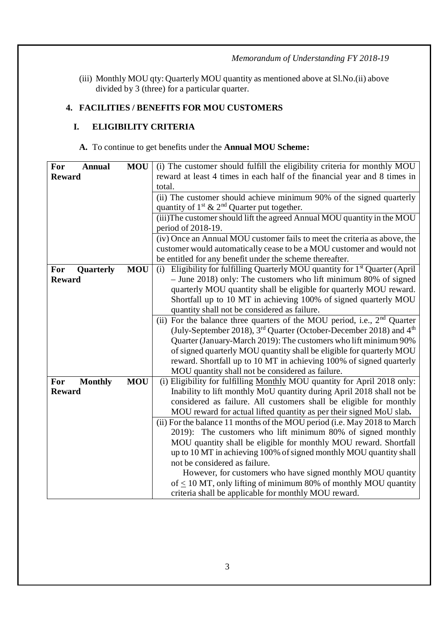*Memorandum of Understanding FY 2018-19*

(iii) Monthly MOU qty: Quarterly MOU quantity as mentioned above at Sl.No.(ii) above divided by 3 (three) for a particular quarter.

# **4. FACILITIES / BENEFITS FOR MOU CUSTOMERS**

# **I. ELIGIBILITY CRITERIA**

# **A.** To continue to get benefits under the **Annual MOU Scheme:**

| For<br><b>Annual</b>  | <b>MOU</b> | (i) The customer should fulfill the eligibility criteria for monthly MOU                    |  |  |
|-----------------------|------------|---------------------------------------------------------------------------------------------|--|--|
| <b>Reward</b>         |            | reward at least 4 times in each half of the financial year and 8 times in                   |  |  |
|                       |            | total.                                                                                      |  |  |
|                       |            | (ii) The customer should achieve minimum 90% of the signed quarterly                        |  |  |
|                       |            | quantity of $1^{st}$ & $2^{nd}$ Quarter put together.                                       |  |  |
|                       |            | (iii) The customer should lift the agreed Annual MOU quantity in the MOU                    |  |  |
|                       |            | period of 2018-19.                                                                          |  |  |
|                       |            | (iv) Once an Annual MOU customer fails to meet the criteria as above, the                   |  |  |
|                       |            | customer would automatically cease to be a MOU customer and would not                       |  |  |
|                       |            | be entitled for any benefit under the scheme thereafter.                                    |  |  |
| For<br>Quarterly      | <b>MOU</b> | Eligibility for fulfilling Quarterly MOU quantity for 1 <sup>st</sup> Quarter (April<br>(i) |  |  |
| <b>Reward</b>         |            | $-$ June 2018) only: The customers who lift minimum 80% of signed                           |  |  |
|                       |            | quarterly MOU quantity shall be eligible for quarterly MOU reward.                          |  |  |
|                       |            | Shortfall up to 10 MT in achieving 100% of signed quarterly MOU                             |  |  |
|                       |            | quantity shall not be considered as failure.                                                |  |  |
|                       |            | (ii) For the balance three quarters of the MOU period, i.e., 2 <sup>nd</sup> Quarter        |  |  |
|                       |            | (July-September 2018), 3 <sup>rd</sup> Quarter (October-December 2018) and 4 <sup>th</sup>  |  |  |
|                       |            | Quarter (January-March 2019): The customers who lift minimum 90%                            |  |  |
|                       |            | of signed quarterly MOU quantity shall be eligible for quarterly MOU                        |  |  |
|                       |            | reward. Shortfall up to 10 MT in achieving 100% of signed quarterly                         |  |  |
|                       |            | MOU quantity shall not be considered as failure.                                            |  |  |
| For<br><b>Monthly</b> | <b>MOU</b> | (i) Eligibility for fulfilling Monthly MOU quantity for April 2018 only:                    |  |  |
| <b>Reward</b>         |            | Inability to lift monthly MoU quantity during April 2018 shall not be                       |  |  |
|                       |            | considered as failure. All customers shall be eligible for monthly                          |  |  |
|                       |            | MOU reward for actual lifted quantity as per their signed MoU slab.                         |  |  |
|                       |            | (ii) For the balance 11 months of the MOU period (i.e. May 2018 to March                    |  |  |
|                       |            | 2019): The customers who lift minimum 80% of signed monthly                                 |  |  |
|                       |            | MOU quantity shall be eligible for monthly MOU reward. Shortfall                            |  |  |
|                       |            | up to 10 MT in achieving 100% of signed monthly MOU quantity shall                          |  |  |
|                       |            | not be considered as failure.                                                               |  |  |
|                       |            | However, for customers who have signed monthly MOU quantity                                 |  |  |
|                       |            | of $\leq$ 10 MT, only lifting of minimum 80% of monthly MOU quantity                        |  |  |
|                       |            | criteria shall be applicable for monthly MOU reward.                                        |  |  |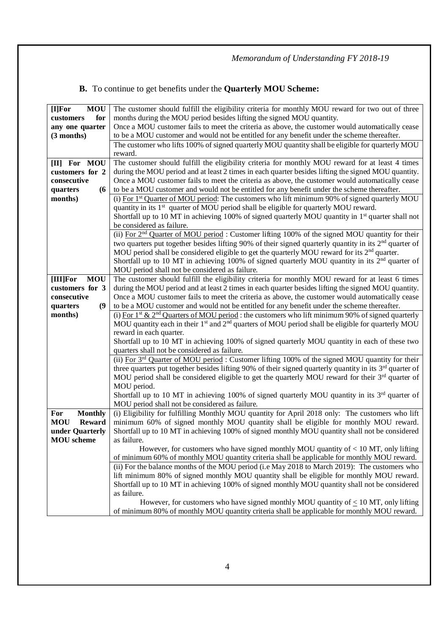# **B.** To continue to get benefits under the **Quarterly MOU Scheme:**

| <b>MOU</b><br>[I] For       | The customer should fulfill the eligibility criteria for monthly MOU reward for two out of three                          |  |  |  |
|-----------------------------|---------------------------------------------------------------------------------------------------------------------------|--|--|--|
| for<br>customers            | months during the MOU period besides lifting the signed MOU quantity.                                                     |  |  |  |
| any one quarter             | Once a MOU customer fails to meet the criteria as above, the customer would automatically cease                           |  |  |  |
| (3 months)                  | to be a MOU customer and would not be entitled for any benefit under the scheme thereafter.                               |  |  |  |
|                             | The customer who lifts 100% of signed quarterly MOU quantity shall be eligible for quarterly MOU                          |  |  |  |
|                             | reward.                                                                                                                   |  |  |  |
| [II] For MOU                | The customer should fulfill the eligibility criteria for monthly MOU reward for at least 4 times                          |  |  |  |
| customers for 2             | during the MOU period and at least 2 times in each quarter besides lifting the signed MOU quantity.                       |  |  |  |
| consecutive                 | Once a MOU customer fails to meet the criteria as above, the customer would automatically cease                           |  |  |  |
| (6)<br>quarters             | to be a MOU customer and would not be entitled for any benefit under the scheme thereafter.                               |  |  |  |
| months)                     | (i) For 1 <sup>st</sup> Quarter of MOU period: The customers who lift minimum 90% of signed quarterly MOU                 |  |  |  |
|                             | quantity in its 1 <sup>st</sup> quarter of MOU period shall be eligible for quarterly MOU reward.                         |  |  |  |
|                             | Shortfall up to 10 MT in achieving 100% of signed quarterly MOU quantity in $1st$ quarter shall not                       |  |  |  |
|                             | be considered as failure.                                                                                                 |  |  |  |
|                             | (ii) For 2 <sup>nd</sup> Quarter of MOU period: Customer lifting 100% of the signed MOU quantity for their                |  |  |  |
|                             | two quarters put together besides lifting 90% of their signed quarterly quantity in its 2 <sup>nd</sup> quarter of        |  |  |  |
|                             | MOU period shall be considered eligible to get the quarterly MOU reward for its 2 <sup>nd</sup> quarter.                  |  |  |  |
|                             | Shortfall up to 10 MT in achieving 100% of signed quarterly MOU quantity in its 2 <sup>nd</sup> quarter of                |  |  |  |
|                             | MOU period shall not be considered as failure.                                                                            |  |  |  |
| <b>MOU</b><br>[III]For      | The customer should fulfill the eligibility criteria for monthly MOU reward for at least 6 times                          |  |  |  |
| customers for 3             | during the MOU period and at least 2 times in each quarter besides lifting the signed MOU quantity.                       |  |  |  |
| consecutive                 | Once a MOU customer fails to meet the criteria as above, the customer would automatically cease                           |  |  |  |
| (9)<br>quarters             | to be a MOU customer and would not be entitled for any benefit under the scheme thereafter.                               |  |  |  |
| months)                     | (i) For 1 <sup>st</sup> & 2 <sup>nd</sup> Quarters of MOU period : the customers who lift minimum 90% of signed quarterly |  |  |  |
|                             | MOU quantity each in their $1st$ and $2nd$ quarters of MOU period shall be eligible for quarterly MOU                     |  |  |  |
|                             | reward in each quarter.                                                                                                   |  |  |  |
|                             | Shortfall up to 10 MT in achieving 100% of signed quarterly MOU quantity in each of these two                             |  |  |  |
|                             | quarters shall not be considered as failure.                                                                              |  |  |  |
|                             | (ii) For $3rd$ Quarter of MOU period : Customer lifting 100% of the signed MOU quantity for their                         |  |  |  |
|                             | three quarters put together besides lifting 90% of their signed quarterly quantity in its 3 <sup>rd</sup> quarter of      |  |  |  |
|                             | MOU period shall be considered eligible to get the quarterly MOU reward for their 3 <sup>rd</sup> quarter of              |  |  |  |
|                             | MOU period.                                                                                                               |  |  |  |
|                             | Shortfall up to 10 MT in achieving 100% of signed quarterly MOU quantity in its 3 <sup>rd</sup> quarter of                |  |  |  |
|                             | MOU period shall not be considered as failure.                                                                            |  |  |  |
| For<br><b>Monthly</b>       | (i) Eligibility for fulfilling Monthly MOU quantity for April 2018 only: The customers who lift                           |  |  |  |
| <b>MOU</b><br><b>Reward</b> | minimum 60% of signed monthly MOU quantity shall be eligible for monthly MOU reward.                                      |  |  |  |
| under Quarterly             | Shortfall up to 10 MT in achieving 100% of signed monthly MOU quantity shall not be considered                            |  |  |  |
| <b>MOU</b> scheme           | as failure.                                                                                                               |  |  |  |
|                             | However, for customers who have signed monthly MOU quantity of $< 10$ MT, only lifting                                    |  |  |  |
|                             | of minimum 60% of monthly MOU quantity criteria shall be applicable for monthly MOU reward.                               |  |  |  |
|                             | (ii) For the balance months of the MOU period (i.e May 2018 to March 2019): The customers who                             |  |  |  |
|                             | lift minimum 80% of signed monthly MOU quantity shall be eligible for monthly MOU reward.                                 |  |  |  |
|                             | Shortfall up to 10 MT in achieving 100% of signed monthly MOU quantity shall not be considered                            |  |  |  |
|                             | as failure.                                                                                                               |  |  |  |
|                             | However, for customers who have signed monthly MOU quantity of $\leq 10$ MT, only lifting                                 |  |  |  |
|                             | of minimum 80% of monthly MOU quantity criteria shall be applicable for monthly MOU reward.                               |  |  |  |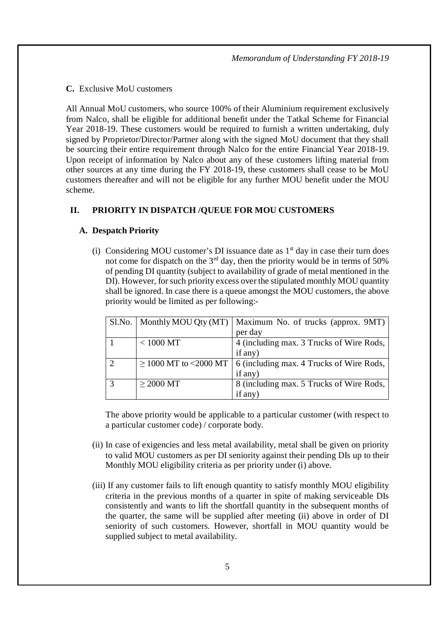#### **C.** Exclusive MoU customers

All Annual MoU customers, who source 100% of their Aluminium requirement exclusively from Nalco, shall be eligible for additional benefit under the Tatkal Scheme for Financial Year 2018-19. These customers would be required to furnish a written undertaking, duly signed by Proprietor/Director/Partner along with the signed MoU document that they shall be sourcing their entire requirement through Nalco for the entire Financial Year 2018-19. Upon receipt of information by Nalco about any of these customers lifting material from other sources at any time during the FY 2018-19, these customers shall cease to be MoU customers thereafter and will not be eligible for any further MOU benefit under the MOU scheme.

# **II. PRIORITY IN DISPATCH /QUEUE FOR MOU CUSTOMERS**

#### **A. Despatch Priority**

(i) Considering MOU customer's DI issuance date as  $1<sup>st</sup>$  day in case their turn does not come for dispatch on the  $3<sup>rd</sup>$  day, then the priority would be in terms of 50% of pending DI quantity (subject to availability of grade of metal mentioned in the DI). However, for such priority excess over the stipulated monthly MOU quantity shall be ignored. In case there is a queue amongst the MOU customers, the above priority would be limited as per following:-

| $S1$ . No. $\vert$ |                            | Monthly MOU Qty (MT)   Maximum No. of trucks (approx. $9MT$ ) |
|--------------------|----------------------------|---------------------------------------------------------------|
|                    |                            | per day                                                       |
|                    | $< 1000$ MT                | 4 (including max. 3 Trucks of Wire Rods,                      |
|                    |                            | if any)                                                       |
|                    | $\geq$ 1000 MT to <2000 MT | 6 (including max. 4 Trucks of Wire Rods,                      |
|                    |                            | if any)                                                       |
| $\mathcal{R}$      | $>$ 2000 MT                | 8 (including max. 5 Trucks of Wire Rods,                      |
|                    |                            | if any)                                                       |

The above priority would be applicable to a particular customer (with respect to a particular customer code) / corporate body.

- (ii) In case of exigencies and less metal availability, metal shall be given on priority to valid MOU customers as per DI seniority against their pending DIs up to their Monthly MOU eligibility criteria as per priority under (i) above.
- (iii) If any customer fails to lift enough quantity to satisfy monthly MOU eligibility criteria in the previous months of a quarter in spite of making serviceable DIs consistently and wants to lift the shortfall quantity in the subsequent months of the quarter, the same will be supplied after meeting (ii) above in order of DI seniority of such customers. However, shortfall in MOU quantity would be supplied subject to metal availability.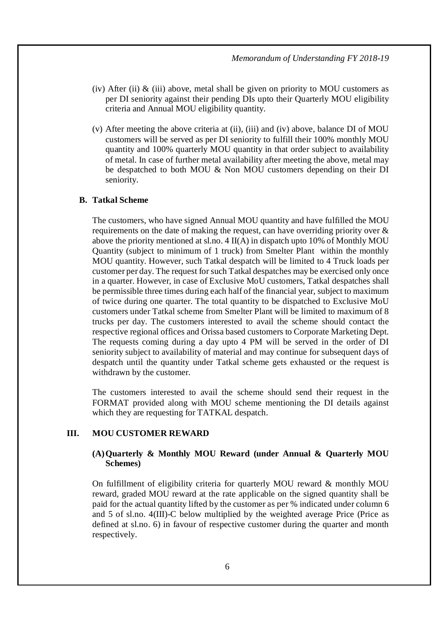- (iv) After (ii)  $\&$  (iii) above, metal shall be given on priority to MOU customers as per DI seniority against their pending DIs upto their Quarterly MOU eligibility criteria and Annual MOU eligibility quantity.
- (v) After meeting the above criteria at (ii), (iii) and (iv) above, balance DI of MOU customers will be served as per DI seniority to fulfill their 100% monthly MOU quantity and 100% quarterly MOU quantity in that order subject to availability of metal. In case of further metal availability after meeting the above, metal may be despatched to both MOU & Non MOU customers depending on their DI seniority.

#### **B. Tatkal Scheme**

The customers, who have signed Annual MOU quantity and have fulfilled the MOU requirements on the date of making the request, can have overriding priority over & above the priority mentioned at sl.no. 4 II(A) in dispatch upto 10% of Monthly MOU Quantity (subject to minimum of 1 truck) from Smelter Plant within the monthly MOU quantity. However, such Tatkal despatch will be limited to 4 Truck loads per customer per day. The request for such Tatkal despatches may be exercised only once in a quarter. However, in case of Exclusive MoU customers, Tatkal despatches shall be permissible three times during each half of the financial year, subject to maximum of twice during one quarter. The total quantity to be dispatched to Exclusive MoU customers under Tatkal scheme from Smelter Plant will be limited to maximum of 8 trucks per day. The customers interested to avail the scheme should contact the respective regional offices and Orissa based customers to Corporate Marketing Dept. The requests coming during a day upto 4 PM will be served in the order of DI seniority subject to availability of material and may continue for subsequent days of despatch until the quantity under Tatkal scheme gets exhausted or the request is withdrawn by the customer.

The customers interested to avail the scheme should send their request in the FORMAT provided along with MOU scheme mentioning the DI details against which they are requesting for TATKAL despatch.

## **III. MOU CUSTOMER REWARD**

#### **(A)Quarterly & Monthly MOU Reward (under Annual & Quarterly MOU Schemes)**

On fulfillment of eligibility criteria for quarterly MOU reward & monthly MOU reward, graded MOU reward at the rate applicable on the signed quantity shall be paid for the actual quantity lifted by the customer as per % indicated under column 6 and 5 of sl.no. 4(III)-C below multiplied by the weighted average Price (Price as defined at sl.no. 6) in favour of respective customer during the quarter and month respectively.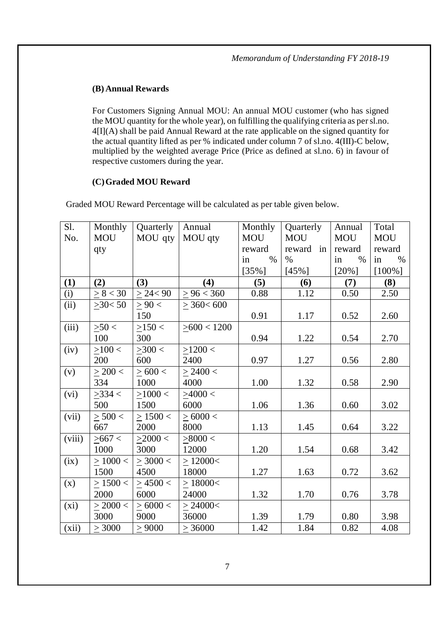# **(B) Annual Rewards**

For Customers Signing Annual MOU: An annual MOU customer (who has signed the MOU quantity for the whole year), on fulfilling the qualifying criteria as per sl.no. 4[I](A) shall be paid Annual Reward at the rate applicable on the signed quantity for the actual quantity lifted as per % indicated under column 7 of sl.no. 4(III)-C below, multiplied by the weighted average Price (Price as defined at sl.no. 6) in favour of respective customers during the year.

## **(C)Graded MOU Reward**

Graded MOU Reward Percentage will be calculated as per table given below.

| Sl.    | Monthly       | Quarterly      | Annual          | Monthly    | Quarterly  | Annual     | Total      |
|--------|---------------|----------------|-----------------|------------|------------|------------|------------|
| No.    | <b>MOU</b>    | MOU qty        | MOU qty         | <b>MOU</b> | <b>MOU</b> | <b>MOU</b> | <b>MOU</b> |
|        | qty           |                |                 | reward     | reward in  | reward     | reward     |
|        |               |                |                 | $\%$<br>in | $\%$       | %<br>in    | $\%$<br>in |
|        |               |                |                 | $[35\%]$   | $[45\%]$   | $[20\%]$   | $[100\%]$  |
| (1)    | (2)           | (3)            | (4)             | (5)        | (6)        | (7)        | (8)        |
| (i)    | > 8 < 30      | $\geq$ 24 < 90 | > 96 < 360      | 0.88       | 1.12       | 0.50       | 2.50       |
| (ii)   | $\geq$ 30< 50 | > 90 <         | $\geq$ 360< 600 |            |            |            |            |
|        |               | 150            |                 | 0.91       | 1.17       | 0.52       | 2.60       |
| (iii)  | >50<          | >150<          | > 600 < 1200    |            |            |            |            |
|        | 100           | 300            |                 | 0.94       | 1.22       | 0.54       | 2.70       |
| (iv)   | >100<         | >300<          | $>1200$ <       |            |            |            |            |
|        | 200           | 600            | 2400            | 0.97       | 1.27       | 0.56       | 2.80       |
| (v)    | $>$ 200 $<$   | > 600 <        | > 2400 <        |            |            |            |            |
|        | 334           | 1000           | 4000            | 1.00       | 1.32       | 0.58       | 2.90       |
| (vi)   | $>334$ <      | >1000<         | >4000<          |            |            |            |            |
|        | 500           | 1500           | 6000            | 1.06       | 1.36       | 0.60       | 3.02       |
| (vii)  | $\geq 500$ <  | $\geq 1500$ <  | $\geq 6000$ <   |            |            |            |            |
|        | 667           | 2000           | 8000            | 1.13       | 1.45       | 0.64       | 3.22       |
| (viii) | > 667 <       | >2000<         | >8000<          |            |            |            |            |
|        | 1000          | 3000           | 12000           | 1.20       | 1.54       | 0.68       | 3.42       |
| (ix)   | $\geq 1000$ < | > 3000 <       | >12000<         |            |            |            |            |
|        | 1500          | 4500           | 18000           | 1.27       | 1.63       | 0.72       | 3.62       |
| (x)    | $\geq 1500$ < | $\geq 4500 <$  | $\geq$ 18000<   |            |            |            |            |
|        | 2000          | 6000           | 24000           | 1.32       | 1.70       | 0.76       | 3.78       |
| (xi)   | $>$ 2000 $<$  | >6000<         | > 24000<        |            |            |            |            |
|        | 3000          | 9000           | 36000           | 1.39       | 1.79       | 0.80       | 3.98       |
| (xii)  | > 3000        | > 9000         | >36000          | 1.42       | 1.84       | 0.82       | 4.08       |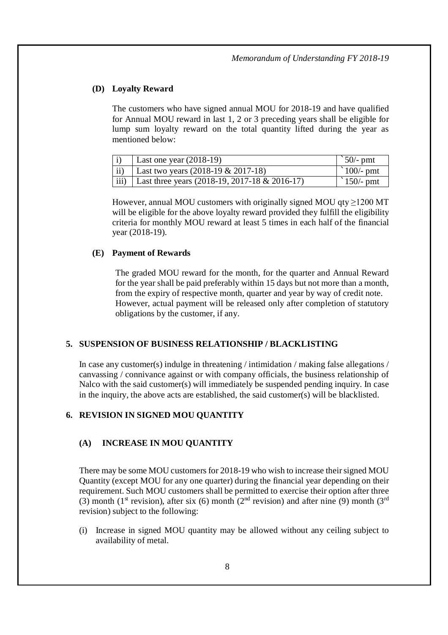## **(D) Loyalty Reward**

The customers who have signed annual MOU for 2018-19 and have qualified for Annual MOU reward in last 1, 2 or 3 preceding years shall be eligible for lump sum loyalty reward on the total quantity lifted during the year as mentioned below:

|               | Last one year $(2018-19)$                               | $\degree$ 50/- pmt  |
|---------------|---------------------------------------------------------|---------------------|
| $\mathbf{ii}$ | Last two years $(2018-19 \& 2017-18)$                   | $\degree$ 100/- pmt |
|               | iii)   Last three years $(2018-19, 2017-18 \& 2016-17)$ | $\degree$ 150/- pmt |

However, annual MOU customers with originally signed MOU  $qty \ge 1200$  MT will be eligible for the above loyalty reward provided they fulfill the eligibility criteria for monthly MOU reward at least 5 times in each half of the financial year (2018-19).

#### **(E) Payment of Rewards**

The graded MOU reward for the month, for the quarter and Annual Reward for the year shall be paid preferably within 15 days but not more than a month, from the expiry of respective month, quarter and year by way of credit note. However, actual payment will be released only after completion of statutory obligations by the customer, if any.

#### **5. SUSPENSION OF BUSINESS RELATIONSHIP / BLACKLISTING**

In case any customer(s) indulge in threatening / intimidation / making false allegations / canvassing / connivance against or with company officials, the business relationship of Nalco with the said customer(s) will immediately be suspended pending inquiry. In case in the inquiry, the above acts are established, the said customer(s) will be blacklisted.

#### **6. REVISION IN SIGNED MOU QUANTITY**

#### **(A) INCREASE IN MOU QUANTITY**

There may be some MOU customers for 2018-19 who wish to increase their signed MOU Quantity (except MOU for any one quarter) during the financial year depending on their requirement. Such MOU customers shall be permitted to exercise their option after three (3) month (1<sup>st</sup> revision), after six (6) month (2<sup>nd</sup> revision) and after nine (9) month (3<sup>rd</sup> revision) subject to the following:

(i) Increase in signed MOU quantity may be allowed without any ceiling subject to availability of metal.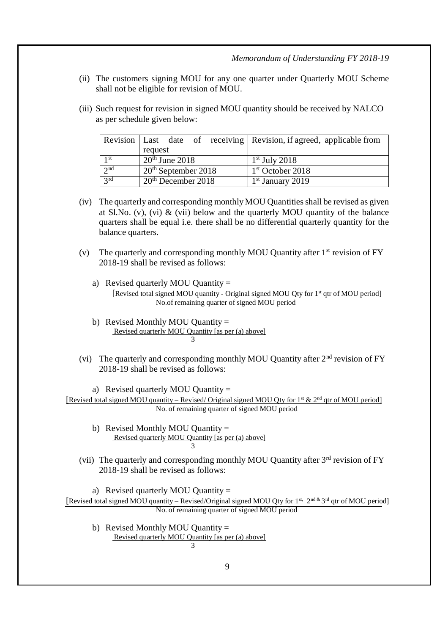*Memorandum of Understanding FY 2018-19*

- (ii) The customers signing MOU for any one quarter under Quarterly MOU Scheme shall not be eligible for revision of MOU.
- (iii) Such request for revision in signed MOU quantity should be received by NALCO as per schedule given below:

|                 |                                | Revision   Last date of receiving   Revision, if agreed, applicable from |
|-----------------|--------------------------------|--------------------------------------------------------------------------|
|                 | request                        |                                                                          |
| 1 <sup>st</sup> | $20th$ June 2018               | $1st$ July 2018                                                          |
| $\gamma$ nd     | $20th$ September 2018          | $1st$ October 2018                                                       |
| 2rd             | 20 <sup>th</sup> December 2018 | $1st$ January 2019                                                       |

- (iv) The quarterly and corresponding monthly MOU Quantities shall be revised as given at Sl.No. (v), (vi)  $\&$  (vii) below and the quarterly MOU quantity of the balance quarters shall be equal i.e. there shall be no differential quarterly quantity for the balance quarters.
- (v) The quarterly and corresponding monthly MOU Quantity after  $1<sup>st</sup>$  revision of FY 2018-19 shall be revised as follows:
	- a) Revised quarterly MOU Quantity = [Revised total signed MOU quantity - Original signed MOU Qty for 1<sup>st</sup> qtr of MOU period] No.of remaining quarter of signed MOU period
	- b) Revised Monthly MOU Ouantity  $=$ Revised quarterly MOU Quantity [as per (a) above] 3
- (vi) The quarterly and corresponding monthly MOU Quantity after  $2<sup>nd</sup>$  revision of FY 2018-19 shall be revised as follows:

a) Revised quarterly MOU Quantity = [Revised total signed MOU quantity – Revised/ Original signed MOU Qty for 1<sup>st</sup> & 2<sup>nd</sup> qtr of MOU period] No. of remaining quarter of signed MOU period

- b) Revised Monthly MOU Quantity  $=$ Revised quarterly MOU Quantity [as per (a) above] 3
- (vii) The quarterly and corresponding monthly MOU Quantity after  $3<sup>rd</sup>$  revision of FY 2018-19 shall be revised as follows:

a) Revised quarterly MOU Quantity =

[Revised total signed MOU quantity - Revised/Original signed MOU Qty for 1st, 2nd & 3rd qtr of MOU period] No. of remaining quarter of signed MOU period

b) Revised Monthly MOU Quantity = Revised quarterly MOU Quantity [as per (a) above] 3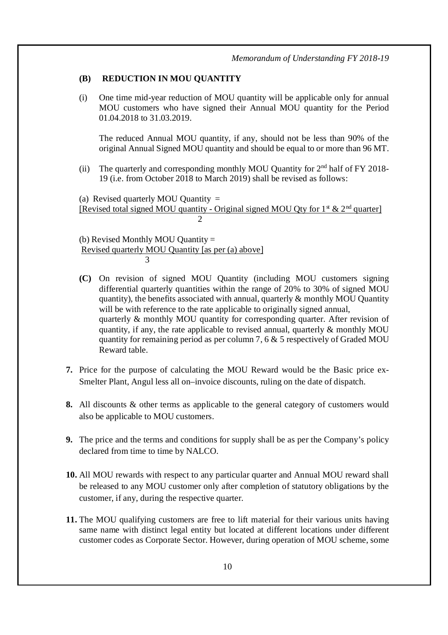## **(B) REDUCTION IN MOU QUANTITY**

(i) One time mid-year reduction of MOU quantity will be applicable only for annual MOU customers who have signed their Annual MOU quantity for the Period 01.04.2018 to 31.03.2019.

The reduced Annual MOU quantity, if any, should not be less than 90% of the original Annual Signed MOU quantity and should be equal to or more than 96 MT.

(ii) The quarterly and corresponding monthly MOU Quantity for 2nd half of FY 2018- 19 (i.e. from October 2018 to March 2019) shall be revised as follows:

(a) Revised quarterly MOU Quantity  $=$ [Revised total signed MOU quantity - Original signed MOU Qty for  $1^{\text{st}} \& 2^{\text{nd}}$  quarter] 2

(b) Revised Monthly MOU Quantity = Revised quarterly MOU Quantity [as per (a) above] 3

- **(C)** On revision of signed MOU Quantity (including MOU customers signing differential quarterly quantities within the range of 20% to 30% of signed MOU quantity), the benefits associated with annual, quarterly  $\&$  monthly MOU Quantity will be with reference to the rate applicable to originally signed annual, quarterly & monthly MOU quantity for corresponding quarter. After revision of quantity, if any, the rate applicable to revised annual, quarterly  $\&$  monthly MOU quantity for remaining period as per column 7, 6  $\&$  5 respectively of Graded MOU Reward table.
- **7.** Price for the purpose of calculating the MOU Reward would be the Basic price ex-Smelter Plant, Angul less all on–invoice discounts, ruling on the date of dispatch.
- **8.** All discounts & other terms as applicable to the general category of customers would also be applicable to MOU customers.
- **9.** The price and the terms and conditions for supply shall be as per the Company's policy declared from time to time by NALCO.
- **10.** All MOU rewards with respect to any particular quarter and Annual MOU reward shall be released to any MOU customer only after completion of statutory obligations by the customer, if any, during the respective quarter.
- **11.** The MOU qualifying customers are free to lift material for their various units having same name with distinct legal entity but located at different locations under different customer codes as Corporate Sector. However, during operation of MOU scheme, some